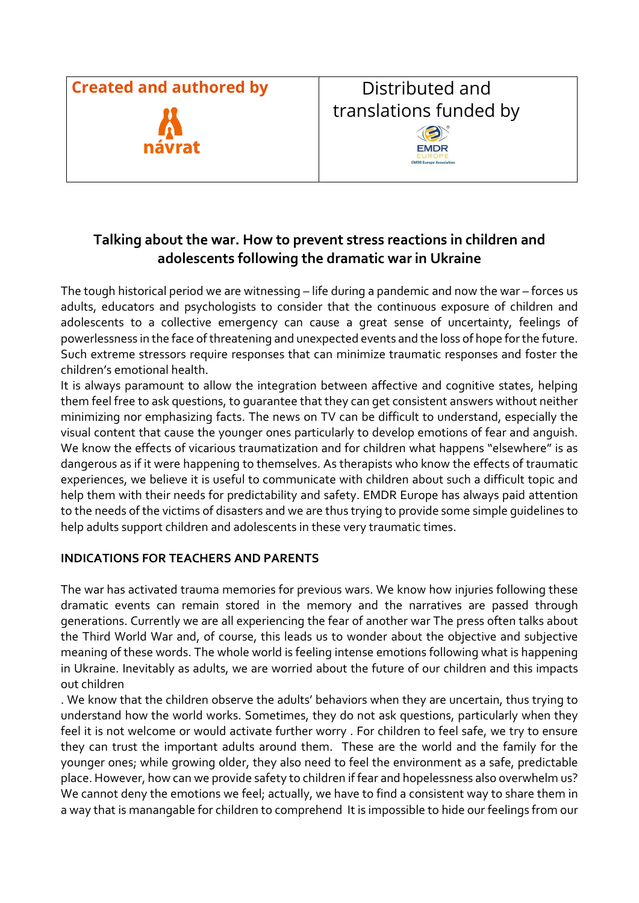

## **Talking about the war. How to prevent stress reactions in children and adolescents following the dramatic war in Ukraine**

The tough historical period we are witnessing – life during a pandemic and now the war – forces us adults, educators and psychologists to consider that the continuous exposure of children and adolescents to a collective emergency can cause a great sense of uncertainty, feelings of powerlessness in the face of threatening and unexpected events and the loss of hope for the future. Such extreme stressors require responses that can minimize traumatic responses and foster the children's emotional health.

It is always paramount to allow the integration between affective and cognitive states, helping them feel free to ask questions, to guarantee that they can get consistent answers without neither minimizing nor emphasizing facts. The news on TV can be difficult to understand, especially the visual content that cause the younger ones particularly to develop emotions of fear and anguish. We know the effects of vicarious traumatization and for children what happens "elsewhere" is as dangerous as if it were happening to themselves. As therapists who know the effects of traumatic experiences, we believe it is useful to communicate with children about such a difficult topic and help them with their needs for predictability and safety. EMDR Europe has always paid attention to the needs of the victims of disasters and we are thus trying to provide some simple guidelines to help adults support children and adolescents in these very traumatic times.

## **INDICATIONS FOR TEACHERS AND PARENTS**

The war has activated trauma memories for previous wars. We know how injuries following these dramatic events can remain stored in the memory and the narratives are passed through generations. Currently we are all experiencing the fear of another war The press often talks about the Third World War and, of course, this leads us to wonder about the objective and subjective meaning of these words. The whole world is feeling intense emotions following what is happening in Ukraine. Inevitably as adults, we are worried about the future of our children and this impacts out children

. We know that the children observe the adults' behaviors when they are uncertain, thus trying to understand how the world works. Sometimes, they do not ask questions, particularly when they feel it is not welcome or would activate further worry . For children to feel safe, we try to ensure they can trust the important adults around them. These are the world and the family for the younger ones; while growing older, they also need to feel the environment as a safe, predictable place. However, how can we provide safety to children if fear and hopelessness also overwhelm us? We cannot deny the emotions we feel; actually, we have to find a consistent way to share them in a way that is manangable for children to comprehend It is impossible to hide our feelings from our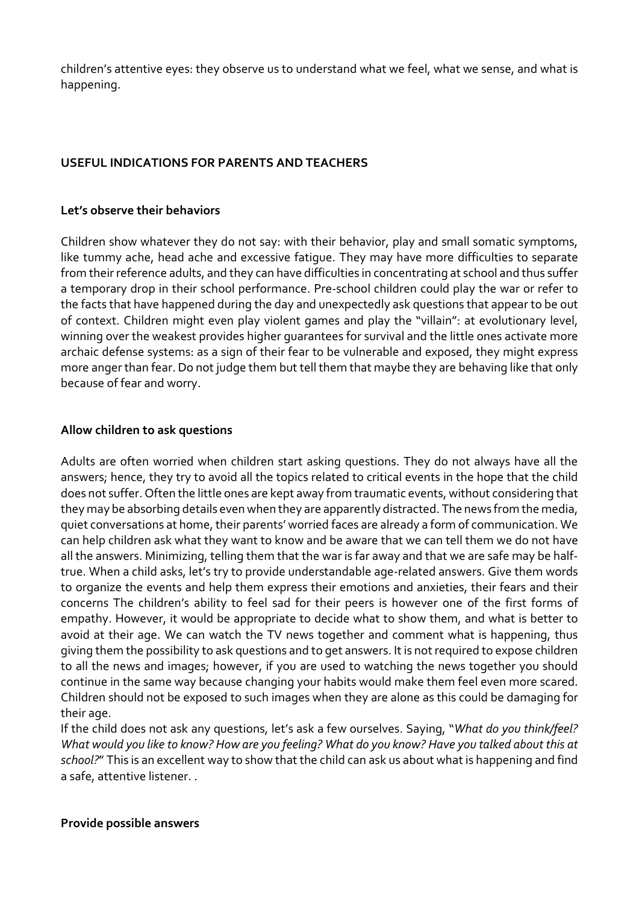children's attentive eyes: they observe us to understand what we feel, what we sense, and what is happening.

## **USEFUL INDICATIONS FOR PARENTS AND TEACHERS**

#### **Let's observe their behaviors**

Children show whatever they do not say: with their behavior, play and small somatic symptoms, like tummy ache, head ache and excessive fatigue. They may have more difficulties to separate from their reference adults, and they can have difficulties in concentrating at school and thus suffer a temporary drop in their school performance. Pre-school children could play the war or refer to the facts that have happened during the day and unexpectedly ask questions that appear to be out of context. Children might even play violent games and play the "villain": at evolutionary level, winning over the weakest provides higher guarantees for survival and the little ones activate more archaic defense systems: as a sign of their fear to be vulnerable and exposed, they might express more anger than fear. Do not judge them but tell them that maybe they are behaving like that only because of fear and worry.

### **Allow children to ask questions**

Adults are often worried when children start asking questions. They do not always have all the answers; hence, they try to avoid all the topics related to critical events in the hope that the child does not suffer. Often the little ones are kept away from traumatic events, without considering that they may be absorbing details even when they are apparently distracted. The news from the media, quiet conversations at home, their parents' worried faces are already a form of communication. We can help children ask what they want to know and be aware that we can tell them we do not have all the answers. Minimizing, telling them that the war is far away and that we are safe may be halftrue. When a child asks, let's try to provide understandable age-related answers. Give them words to organize the events and help them express their emotions and anxieties, their fears and their concerns The children's ability to feel sad for their peers is however one of the first forms of empathy. However, it would be appropriate to decide what to show them, and what is better to avoid at their age. We can watch the TV news together and comment what is happening, thus giving them the possibility to ask questions and to get answers. It is not required to expose children to all the news and images; however, if you are used to watching the news together you should continue in the same way because changing your habits would make them feel even more scared. Children should not be exposed to such images when they are alone as this could be damaging for their age.

If the child does not ask any questions, let's ask a few ourselves. Saying, "*What do you think/feel?* What would you like to know? How are you feeling? What do you know? Have you talked about this at *school?*" This is an excellent way to show that the child can ask us about what is happening and find a safe, attentive listener. .

#### **Provide possible answers**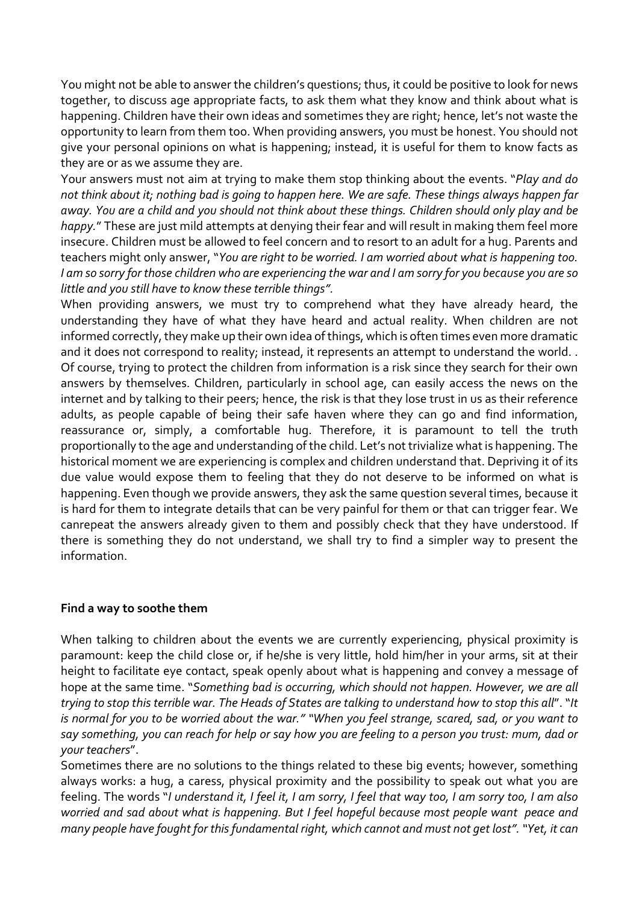You might not be able to answer the children's questions; thus, it could be positive to look for news together, to discuss age appropriate facts, to ask them what they know and think about what is happening. Children have their own ideas and sometimes they are right; hence, let's not waste the opportunity to learn from them too. When providing answers, you must be honest. You should not give your personal opinions on what is happening; instead, it is useful for them to know facts as they are or as we assume they are.

Your answers must not aim at trying to make them stop thinking about the events. "*Play and do* not think about it; nothing bad is going to happen here. We are safe. These things always happen far away. You are a child and you should not think about these things. Children should only play and be *happy.*" These are just mild attempts at denying their fear and will result in making them feel more insecure. Children must be allowed to feel concern and to resort to an adult for a hug. Parents and teachers might only answer, "*You are right to be worried. I am worried about what is happening too.* I am so sorry for those children who are experiencing the war and I am sorry for you because you are so *little and you still have to know these terrible things".*

When providing answers, we must try to comprehend what they have already heard, the understanding they have of what they have heard and actual reality. When children are not informed correctly, they make up their own idea of things, which is often times even more dramatic and it does not correspond to reality; instead, it represents an attempt to understand the world. . Of course, trying to protect the children from information is a risk since they search for their own answers by themselves. Children, particularly in school age, can easily access the news on the internet and by talking to their peers; hence, the risk is that they lose trust in us as their reference adults, as people capable of being their safe haven where they can go and find information, reassurance or, simply, a comfortable hug. Therefore, it is paramount to tell the truth proportionally to the age and understanding of the child. Let's not trivialize what is happening. The historical moment we are experiencing is complex and children understand that. Depriving it of its due value would expose them to feeling that they do not deserve to be informed on what is happening. Even though we provide answers, they ask the same question several times, because it is hard for them to integrate details that can be very painful for them or that can trigger fear. We canrepeat the answers already given to them and possibly check that they have understood. If there is something they do not understand, we shall try to find a simpler way to present the information.

### **Find a way to soothe them**

When talking to children about the events we are currently experiencing, physical proximity is paramount: keep the child close or, if he/she is very little, hold him/her in your arms, sit at their height to facilitate eye contact, speak openly about what is happening and convey a message of hope at the same time. "*Something bad is occurring, which should not happen. However, we are all* trying to stop this terrible war. The Heads of States are talking to understand how to stop this all". "It is normal for you to be worried about the war." "When you feel strange, scared, sad, or you want to say something, you can reach for help or say how you are feeling to a person you trust: mum, dad or *your teachers*".

Sometimes there are no solutions to the things related to these big events; however, something always works: a hug, a caress, physical proximity and the possibility to speak out what you are feeling. The words "I understand it, I feel it, I am sorry, I feel that way too, I am sorry too, I am also *worried and sad about what is happening. But I feel hopeful because most people want peace and many people have fought for thisfundamental right, which cannot and must not get lost"."Yet, it can*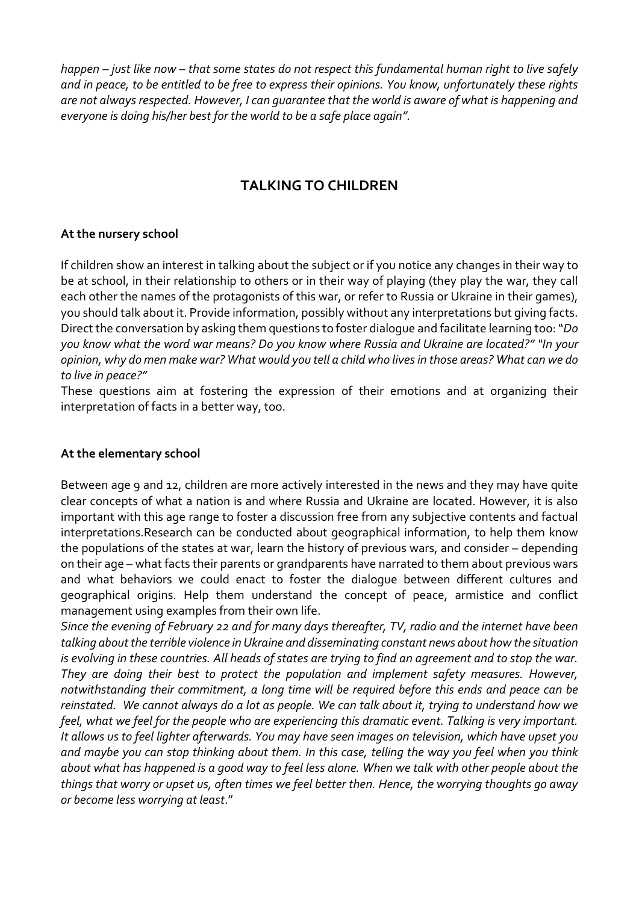happen – just like now – that some states do not respect this fundamental human right to live safely and in peace, to be entitled to be free to express their opinions. You know, unfortunately these riahts *are not alwaysrespected. However, I can guarantee that the world is aware of what is happening and everyone is doing his/her best for the world to be a safe place again".*

# **TALKING TO CHILDREN**

## **At the nursery school**

If children show an interest in talking about the subject or if you notice any changes in their way to be at school, in their relationship to others or in their way of playing (they play the war, they call each other the names of the protagonists of this war, or refer to Russia or Ukraine in their games), you should talk about it. Provide information, possibly without any interpretations but giving facts. Direct the conversation by asking them questions to foster dialogue and facilitate learning too:"*Do* you know what the word war means? Do you know where Russia and Ukraine are located?" "In your opinion, why do men make war? What would you tell a child who lives in those areas? What can we do *to live in peace?"*

These questions aim at fostering the expression of their emotions and at organizing their interpretation of facts in a better way, too.

### **At the elementary school**

Between age 9 and 12, children are more actively interested in the news and they may have quite clear concepts of what a nation is and where Russia and Ukraine are located. However, it is also important with this age range to foster a discussion free from any subjective contents and factual interpretations.Research can be conducted about geographical information, to help them know the populations of the states at war, learn the history of previous wars, and consider – depending on their age – what facts their parents or grandparents have narrated to them about previous wars and what behaviors we could enact to foster the dialogue between different cultures and geographical origins. Help them understand the concept of peace, armistice and conflict management using examples from their own life.

Since the evening of February 22 and for many days thereafter, TV, radio and the internet have been *talking aboutthe terrible violence in Ukraine and disseminating constant news about how the situation* is evolving in these countries. All heads of states are trying to find an agreement and to stop the war. *They are doing their best to protect the population and implement safety measures. However, notwithstanding their commitment, a long time will be required before this ends and peace can be* reinstated. We cannot always do a lot as people. We can talk about it, trying to understand how we *feel, what we feel for the people who are experiencing this dramatic event. Talking is very important.* It allows us to feel lighter afterwards. You may have seen images on television, which have upset you and maybe you can stop thinking about them. In this case, telling the way you feel when you think about what has happened is a good way to feel less alone. When we talk with other people about the things that worry or upset us, often times we feel better then. Hence, the worrying thoughts go away *or become less worrying at least*."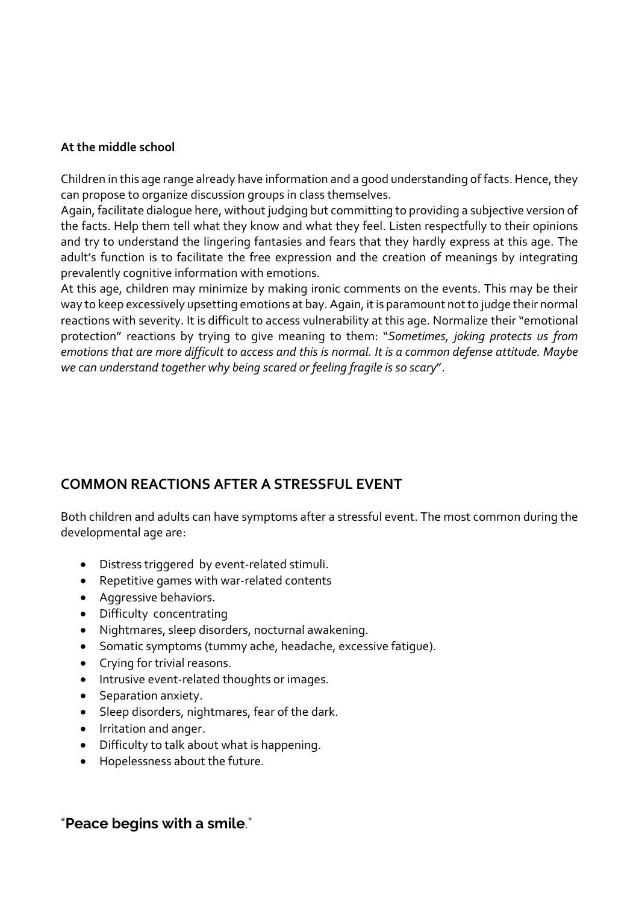### **At the middle school**

Children in this age range already have information and a good understanding of facts. Hence, they can propose to organize discussion groups in class themselves.

Again, facilitate dialoque here, without judging but committing to providing a subjective version of the facts. Help them tell what they know and what they feel. Listen respectfully to their opinions and try to understand the lingering fantasies and fears that they hardly express at this age. The adult's function is to facilitate the free expression and the creation of meanings by integrating prevalently cognitive information with emotions.

At this age, children may minimize by making ironic comments on the events. This may be their way to keep excessively upsetting emotions at bay. Again, it is paramount not to judge their normal reactions with severity. It is difficult to access vulnerability at this age. Normalize their "emotional protection" reactions by trying to give meaning to them: "*Sometimes, joking protects us from* emotions that are more difficult to access and this is normal. It is a common defense attitude. Maybe *we can understand together why being scared or feeling fragile is so scary*".

# **COMMON REACTIONS AFTER A STRESSFUL EVENT**

Both children and adults can have symptoms after a stressful event. The most common during the developmental age are:

- Distress triggered by event-related stimuli.
- Repetitive games with war-related contents
- Aggressive behaviors.
- Difficulty concentrating
- Nightmares, sleep disorders, nocturnal awakening.
- Somatic symptoms (tummy ache, headache, excessive fatigue).
- Crying for trivial reasons.
- Intrusive event-related thoughts or images.
- Separation anxiety.
- Sleep disorders, nightmares, fear of the dark.
- Irritation and anger.
- Difficulty to talk about what is happening.
- Hopelessness about the future.

## "**Peace begins with a smile**."